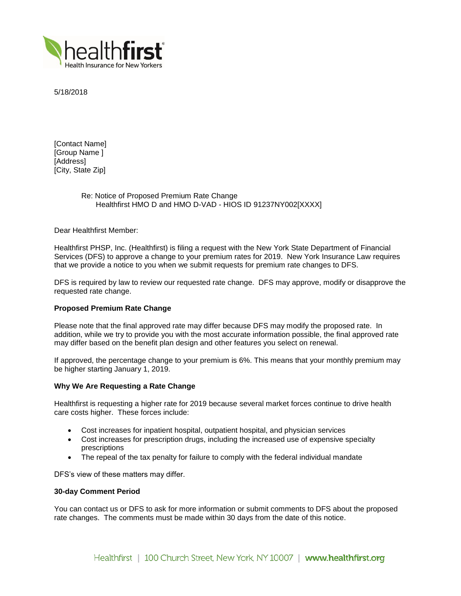

5/18/2018

[Contact Name] [Group Name ] [Address] [City, State Zip]

# Re: Notice of Proposed Premium Rate Change Healthfirst HMO D and HMO D-VAD - HIOS ID 91237NY002[XXXX]

Dear Healthfirst Member:

Healthfirst PHSP, Inc. (Healthfirst) is filing a request with the New York State Department of Financial Services (DFS) to approve a change to your premium rates for 2019. New York Insurance Law requires that we provide a notice to you when we submit requests for premium rate changes to DFS.

DFS is required by law to review our requested rate change. DFS may approve, modify or disapprove the requested rate change.

## **Proposed Premium Rate Change**

Please note that the final approved rate may differ because DFS may modify the proposed rate. In addition, while we try to provide you with the most accurate information possible, the final approved rate may differ based on the benefit plan design and other features you select on renewal.

If approved, the percentage change to your premium is 6%. This means that your monthly premium may be higher starting January 1, 2019.

### **Why We Are Requesting a Rate Change**

Healthfirst is requesting a higher rate for 2019 because several market forces continue to drive health care costs higher. These forces include:

- Cost increases for inpatient hospital, outpatient hospital, and physician services
- Cost increases for prescription drugs, including the increased use of expensive specialty prescriptions
- The repeal of the tax penalty for failure to comply with the federal individual mandate

DFS's view of these matters may differ.

### **30-day Comment Period**

You can contact us or DFS to ask for more information or submit comments to DFS about the proposed rate changes. The comments must be made within 30 days from the date of this notice.